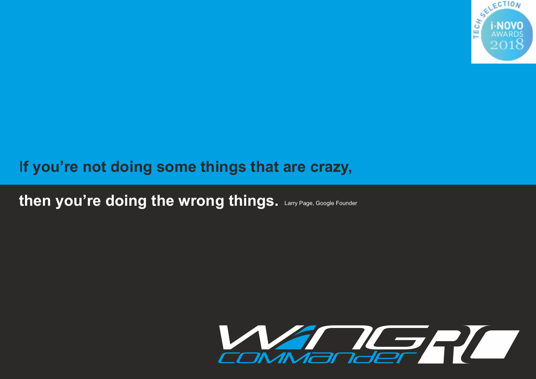

## I**f you're not doing some things that are crazy,**

then you're doing the wrong things. Larry Page, Google Founder

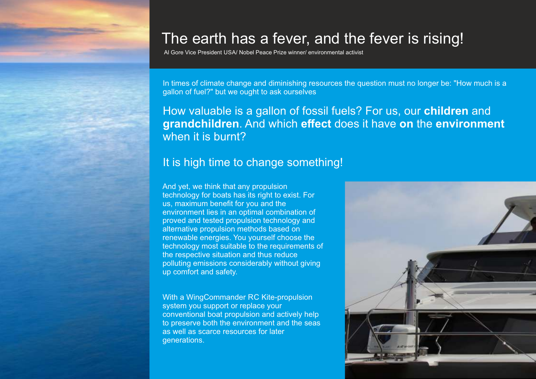# The earth has a fever, and the fever is rising!

Al Gore Vice President USA/ Nobel Peace Prize winner/ environmental activist

In times of climate change and diminishing resources the question must no longer be: "How much is a gallon of fuel?" but we ought to ask ourselves

### How valuable is a gallon of fossil fuels? For us, our **children** and **grandchildren**. And which **effect** does it have **on** the **environment** when it is burnt?

### It is high time to change something!

And yet, we think that any propulsion technology for boats has its right to exist. For us, maximum benefit for you and the environment lies in an optimal combination of proved and tested propulsion technology and alternative propulsion methods based on renewable energies. You yourself choose the technology most suitable to the requirements of the respective situation and thus reduce polluting emissions considerably without giving up comfort and safety.

With a WingCommander RC Kite-propulsion system you support or replace your conventional boat propulsion and actively help to preserve both the environment and the seas as well as scarce resources for later generations.

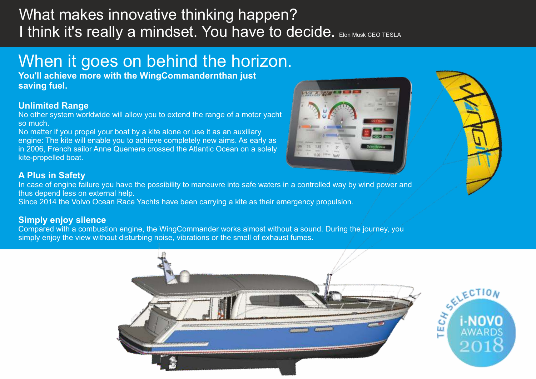## What makes innovative thinking happen? I think it's really a mindset. You have to decide. Elon Musk CEO TESLA

# When it goes on behind the horizon.

**You'll achieve more with the WingCommandernthan just saving fuel.**

### **Unlimited Range**

No other system worldwide will allow you to extend the range of a motor yacht so much.

No matter if you propel your boat by a kite alone or use it as an auxiliary engine: The kite will enable you to achieve completely new aims. As early as in 2006, French sailor Anne Quemere crossed the Atlantic Ocean on a solely kite-propelled boat.

### **A Plus in Safety**

In case of engine failure you have the possibility to maneuvre into safe waters in a controlled way by wind power and thus depend less on external help.

Since 2014 the Volvo Ocean Race Yachts have been carrying a kite as their emergency propulsion.

### **Simply enjoy silence**

Compared with a combustion engine, the WingCommander works almost without a sound. During the journey, you simply enjoy the view without disturbing noise, vibrations or the smell of exhaust fumes.



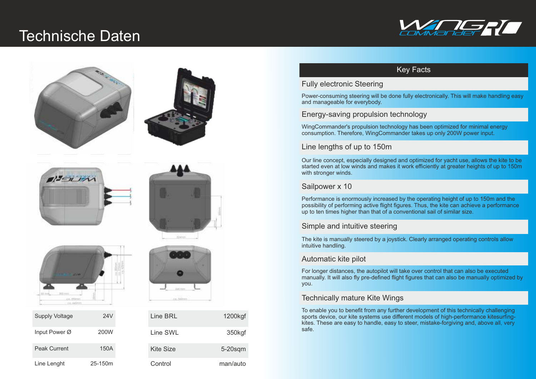# Technische Daten Commander







| Supply Voltage      | $24\sqrt{ }$     |
|---------------------|------------------|
| Input Power Ø       | 200 <sub>W</sub> |
| <b>Peak Current</b> | 150A             |
| Line Lenght         | 25-150m          |



| <b>Supply Voltage</b> | 24V     | Line BRL         | 1200kgf    |
|-----------------------|---------|------------------|------------|
| Input Power Ø         | 200W    | Line SWL         | 350kgf     |
| <b>Peak Current</b>   | 150A    | <b>Kite Size</b> | $5-20$ sqm |
| Line Lenght           | 25-150m | Control          | man/auto   |

### Key Facts

#### Fully electronic Steering

Power-consuming steering will be done fully electronically. This will make handling easy and manageable for everybody.

#### Energy-saving propulsion technology

WingCommander's propulsion technology has been optimized for minimal energy consumption. Therefore, WingCommander takes up only 200W power input.

#### Line lengths of up to 150m

Our line concept, especially designed and optimized for yacht use, allows the kite to be started even at low winds and makes it work efficiently at greater heights of up to 150m with stronger winds.

#### Sailpower x 10

Performance is enormously increased by the operating height of up to 150m and the possibility of performing active flight figures. Thus, the kite can achieve a performance up to ten times higher than that of a conventional sail of similar size.

#### Simple and intuitive steering

The kite is manually steered by a joystick. Clearly arranged operating controls allow intuitive handling.

#### Automatic kite pilot

For longer distances, the autopilot will take over control that can also be executed manually. It will also fly pre-defined flight figures that can also be manually optimized by you.

#### Technically mature Kite Wings

To enable you to benefit from any further development of this technically challenging sports device, our kite systems use different models of high-performance kitesurfingkites. These are easy to handle, easy to steer, mistake-forgiving and, above all, very safe.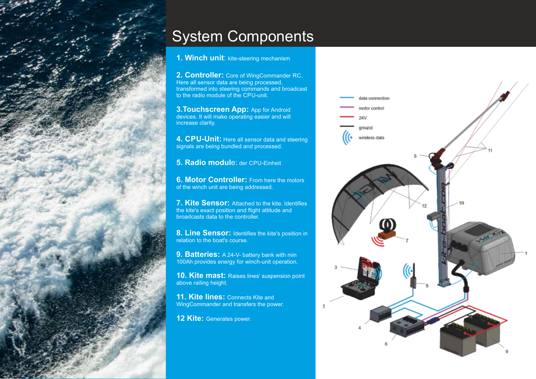

# System Components

#### **1. Winch unit**: kite-steering mechanism

**2. Controller:** Core of WingCommander RC. Here all sensor data are being processed, transformed into steering commands and broadcast to the radio module of the CPU-unit.

**3. Touchscreen App:** App for Android devices. It will make operating easier and will increase clarity.

**4. CPU-Unit:** Here all sensor data and steering signals are being bundled and processed.

**5. Radio modul**e: der CPU-Einheit

**6. Motor Controller:** From here the motors of the winch unit are being addressed.

**7. Kite Sensor:** Attached to the kite. Identifies the kite's exact position and flight attitude and broadcasts data to the controller.

**8. Line Sensor:** Identifies the kite's position in relation to the boat's course.

**9. Batteries:** A 24-V- battery bank with min 100Ah provides energy for winch-unit operation.

**10. Kite mast:** Raises lines' suspension point above railing height.

**11. Kite lines: Connects Kite and** WingCommander and transfers the power.

**12 Kite:** Generates power.

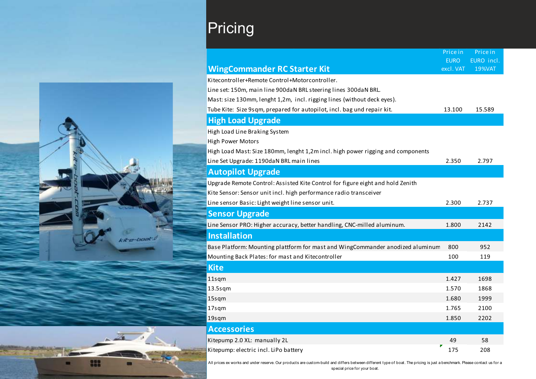



# **Pricing**

|                                                                                 | <b>EURO</b> | $\blacksquare$<br>EURO incl. |
|---------------------------------------------------------------------------------|-------------|------------------------------|
| <b>WingCommander RC Starter Kit</b>                                             | excl. VAT   | <b>19%VAT</b>                |
| Kitecontroller+Remote Control+Motorcontroller.                                  |             |                              |
| Line set: 150m, main line 900daN BRL steering lines 300daN BRL.                 |             |                              |
| Mast: size 130mm, lenght 1,2m, incl. rigging lines (without deck eyes).         |             |                              |
| Tube Kite: Size 9sqm, prepared for autopilot, incl. bag und repair kit.         | 13.100      | 15.589                       |
| <b>High Load Upgrade</b>                                                        |             |                              |
| High Load Line Braking System                                                   |             |                              |
| <b>High Power Motors</b>                                                        |             |                              |
| High Load Mast: Size 180mm, lenght 1,2m incl. high power rigging and components |             |                              |
| Line Set Upgrade: 1190daN BRL main lines                                        | 2.350       | 2.797                        |
| <b>Autopilot Upgrade</b>                                                        |             |                              |
| Upgrade Remote Control: Assisted Kite Control for figure eight and hold Zenith  |             |                              |
| Kite Sensor: Sensor unit incl. high performance radio transceiver               |             |                              |
| Line sensor Basic: Light weight line sensor unit.                               | 2.300       | 2.737                        |
| <b>Sensor Upgrade</b>                                                           |             |                              |
| Line Sensor PRO: Higher accuracy, better handling, CNC-milled aluminum.         | 1.800       | 2142                         |
| <b>Installation</b>                                                             |             |                              |
| Base Platform: Mounting plattform for mast and WingCommander anodized aluminum  | 800         | 952                          |
| Mounting Back Plates: for mast and Kitecontroller                               | 100         | 119                          |
| <b>Kite</b>                                                                     |             |                              |
| 11sqm                                                                           | 1.427       | 1698                         |
| $13.5$ sqm                                                                      | 1.570       | 1868                         |
| 15sqm                                                                           | 1.680       | 1999                         |
| 17sqm                                                                           | 1.765       | 2100                         |
| 19sqm                                                                           | 1.850       | 2202                         |
| <b>Accessories</b>                                                              |             |                              |
| Kitepump 2.0 XL: manually 2L                                                    | 49          | 58                           |
| Kitepump: electric incl. LiPo battery                                           | Г<br>175    | 208                          |

Price in

Price in

All prices ex works and under reserve. Our products are custom-build and differs between different type of boat. The pricing is just a benchmark. Please contact us for a special price for your boat.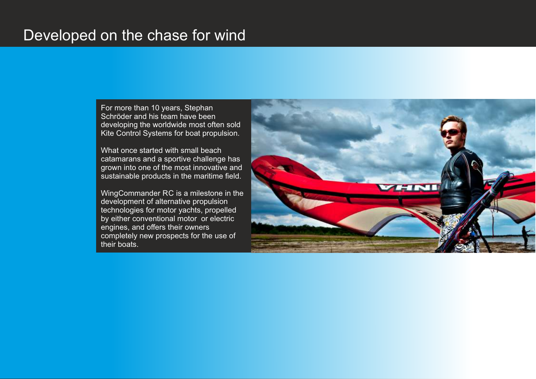### Developed on the chase for wind

For more than 10 years, Stephan Schröder and his team have been developing the worldwide most often sold Kite Control Systems for boat propulsion.

What once started with small beach catamarans and a sportive challenge has grown into one of the most innovative and sustainable products in the maritime field.

WingCommander RC is a milestone in the development of alternative propulsion technologies for motor yachts, propelled by either conventional motor or electric engines, and offers their owners completely new prospects for the use of their boats.